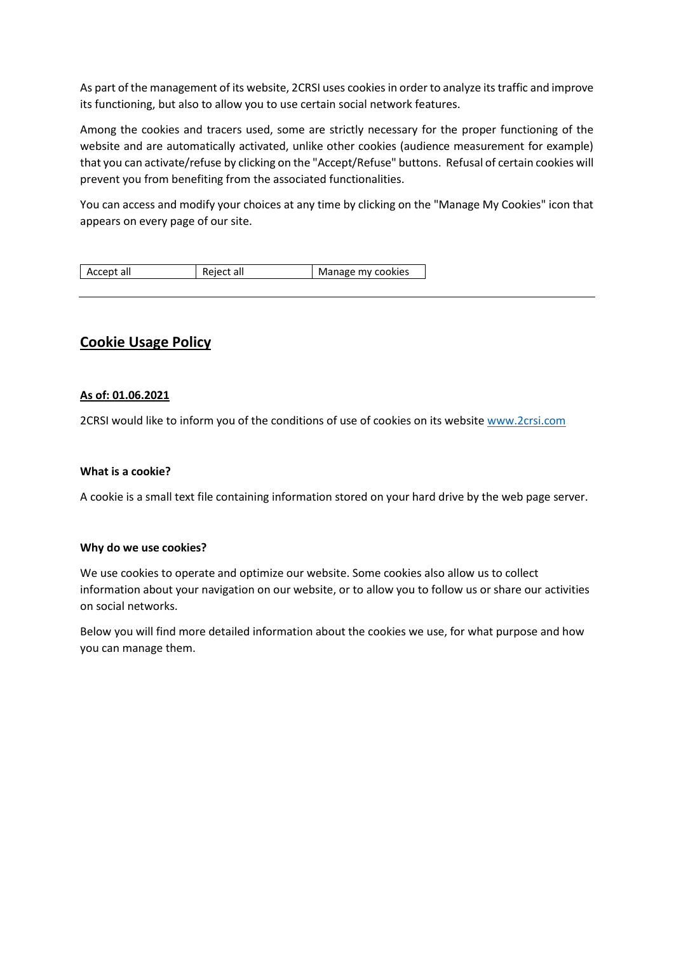As part of the management of its website, 2CRSI uses cookies in order to analyze its traffic and improve its functioning, but also to allow you to use certain social network features.

Among the cookies and tracers used, some are strictly necessary for the proper functioning of the website and are automatically activated, unlike other cookies (audience measurement for example) that you can activate/refuse by clicking on the "Accept/Refuse" buttons. Refusal of certain cookies will prevent you from benefiting from the associated functionalities.

You can access and modify your choices at any time by clicking on the "Manage My Cookies" icon that appears on every page of our site.

| Accept all | Reject all | Manage my cookies |
|------------|------------|-------------------|
|------------|------------|-------------------|

## **Cookie Usage Policy**

### **As of: 01.06.2021**

2CRSI would like to inform you of the conditions of use of cookies on its websit[e www.2crsi.com](http://www.2crsi.com/)

#### **What is a cookie?**

A cookie is a small text file containing information stored on your hard drive by the web page server.

#### **Why do we use cookies?**

We use cookies to operate and optimize our website. Some cookies also allow us to collect information about your navigation on our website, or to allow you to follow us or share our activities on social networks.

Below you will find more detailed information about the cookies we use, for what purpose and how you can manage them.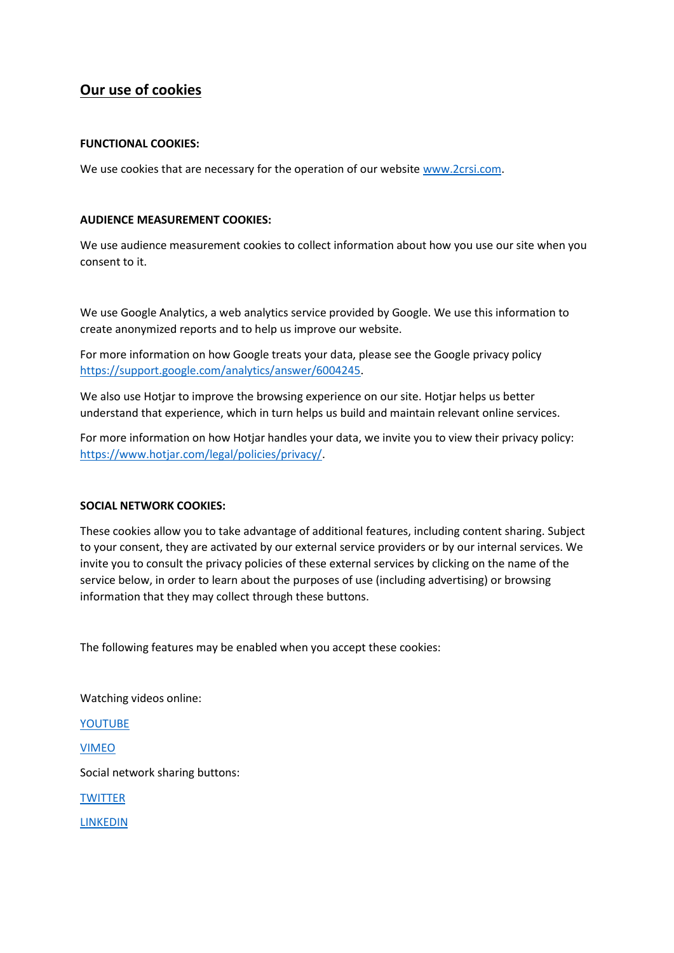# **Our use of cookies**

#### **FUNCTIONAL COOKIES:**

We use cookies that are necessary for the operation of our websit[e www.2crsi.com.](http://www.2crsi.com/)

#### **AUDIENCE MEASUREMENT COOKIES:**

We use audience measurement cookies to collect information about how you use our site when you consent to it.

We use Google Analytics, a web analytics service provided by Google. We use this information to create anonymized reports and to help us improve our website.

For more information on how Google treats your data, please see the Google privacy policy [https://support.google.com/analytics/answer/6004245.](https://support.google.com/analytics/answer/6004245)

We also use Hotjar to improve the browsing experience on our site. Hotjar helps us better understand that experience, which in turn helps us build and maintain relevant online services.

For more information on how Hotjar handles your data, we invite you to view their privacy policy: [https://www.hotjar.com/legal/policies/privacy/.](https://www.hotjar.com/legal/policies/privacy/)

#### **SOCIAL NETWORK COOKIES:**

These cookies allow you to take advantage of additional features, including content sharing. Subject to your consent, they are activated by our external service providers or by our internal services. We invite you to consult the privacy policies of these external services by clicking on the name of the service below, in order to learn about the purposes of use (including advertising) or browsing information that they may collect through these buttons.

The following features may be enabled when you accept these cookies:

Watching videos online:

[YOUTUBE](https://policies.google.com/privacy)

[VIMEO](https://vimeo.com/privacy)

Social network sharing buttons:

**[TWITTER](https://www.google.fr/url?sa=t&rct=j&q=&esrc=s&source=web&cd=&cad=rja&uact=8&ved=2ahUKEwif4vr27InwAhVcwAIHHQgoBQMQFjAAegQIAhAE&url=https%3A%2F%2Ftwitter.com%2Fen%2Fprivacy&usg=AOvVaw1PL2KchlfipK-3iu1HFfxO)** 

[LINKEDIN](https://fr.linkedin.com/legal/privacy-policy?)